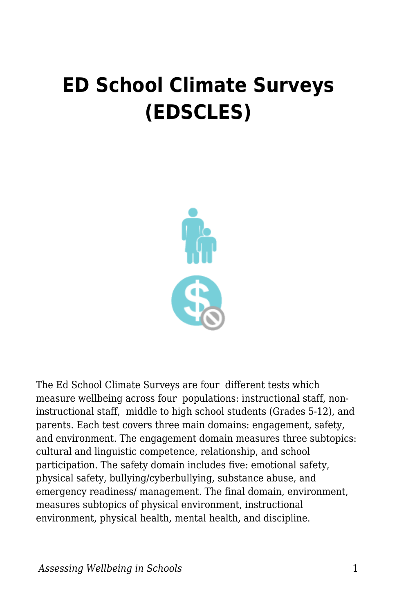## **ED School Climate Surveys (EDSCLES)**



The Ed School Climate Surveys are four different tests which measure wellbeing across four populations: instructional staff, noninstructional staff, middle to high school students (Grades 5-12), and parents. Each test covers three main domains: engagement, safety, and environment. The engagement domain measures three subtopics: cultural and linguistic competence, relationship, and school participation. The safety domain includes five: emotional safety, physical safety, bullying/cyberbullying, substance abuse, and emergency readiness/ management. The final domain, environment, measures subtopics of physical environment, instructional environment, physical health, mental health, and discipline.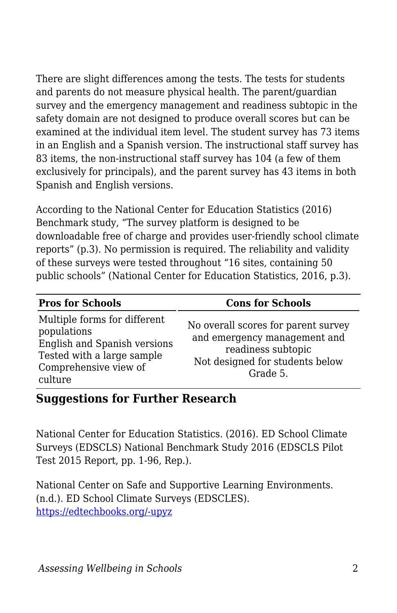There are slight differences among the tests. The tests for students and parents do not measure physical health. The parent/guardian survey and the emergency management and readiness subtopic in the safety domain are not designed to produce overall scores but can be examined at the individual item level. The student survey has 73 items in an English and a Spanish version. The instructional staff survey has 83 items, the non-instructional staff survey has 104 (a few of them exclusively for principals), and the parent survey has 43 items in both Spanish and English versions.

According to the National Center for Education Statistics (2016) Benchmark study, "The survey platform is designed to be downloadable free of charge and provides user-friendly school climate reports" (p.3). No permission is required. The reliability and validity of these surveys were tested throughout "16 sites, containing 50 public schools" (National Center for Education Statistics, 2016, p.3).

| <b>Pros for Schools</b>                                                                                                                       | <b>Cons for Schools</b>                                                                                                                  |
|-----------------------------------------------------------------------------------------------------------------------------------------------|------------------------------------------------------------------------------------------------------------------------------------------|
| Multiple forms for different<br>populations<br>English and Spanish versions<br>Tested with a large sample<br>Comprehensive view of<br>culture | No overall scores for parent survey<br>and emergency management and<br>readiness subtopic<br>Not designed for students below<br>Grade 5. |

## **Suggestions for Further Research**

National Center for Education Statistics. (2016). ED School Climate Surveys (EDSCLS) National Benchmark Study 2016 (EDSCLS Pilot Test 2015 Report, pp. 1-96, Rep.).

National Center on Safe and Supportive Learning Environments. (n.d.). ED School Climate Surveys (EDSCLES). [https://edtechbooks.org/-upyz](https://safesupportivelearning.ed.gov/edscls/measures)